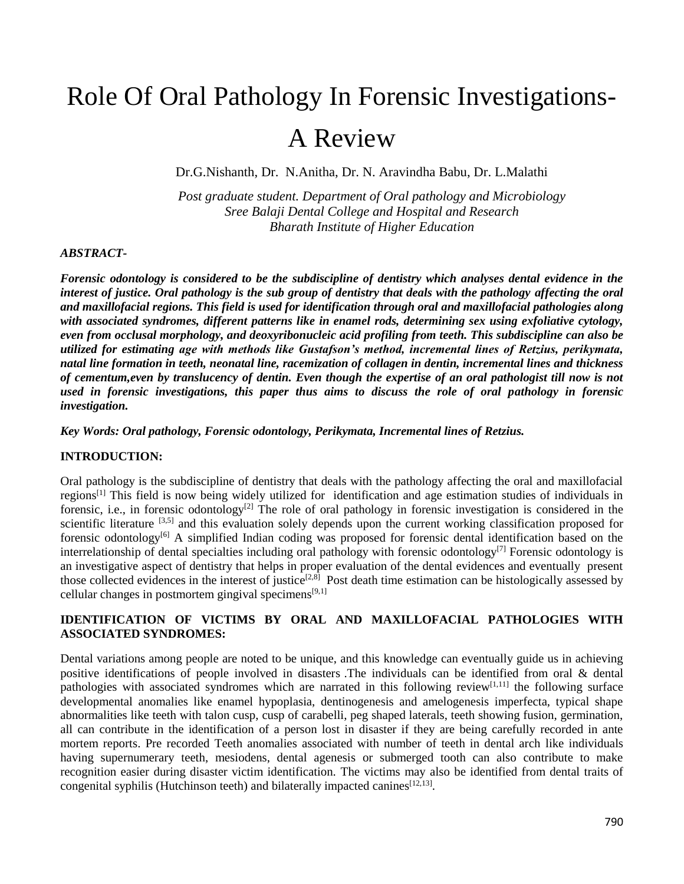# Role Of Oral Pathology In Forensic Investigations-A Review

Dr.G.Nishanth, Dr. N.Anitha, Dr. N. Aravindha Babu, Dr. L.Malathi

*Post graduate student. Department of Oral pathology and Microbiology Sree Balaji Dental College and Hospital and Research Bharath Institute of Higher Education*

#### *ABSTRACT-*

*Forensic odontology is considered to be the subdiscipline of dentistry which analyses dental evidence in the interest of justice. Oral pathology is the sub group of dentistry that deals with the pathology affecting the oral and maxillofacial regions. This field is used for identification through oral and maxillofacial pathologies along with associated syndromes, different patterns like in enamel rods, determining sex using exfoliative cytology, even from occlusal morphology, and deoxyribonucleic acid profiling from teeth. This subdiscipline can also be utilized for estimating age with methods like Gustafson's method, incremental lines of Retzius, perikymata, natal line formation in teeth, neonatal line, racemization of collagen in dentin, incremental lines and thickness of cementum,even by translucency of dentin. Even though the expertise of an oral pathologist till now is not used in forensic investigations, this paper thus aims to discuss the role of oral pathology in forensic investigation.*

*Key Words: Oral pathology, Forensic odontology, Perikymata, Incremental lines of Retzius.*

#### **INTRODUCTION:**

Oral pathology is the subdiscipline of dentistry that deals with the pathology affecting the oral and maxillofacial regions[1] This field is now being widely utilized for identification and age estimation studies of individuals in forensic, i.e., in forensic odontology<sup>[2]</sup> The role of oral pathology in forensic investigation is considered in the scientific literature  $[3,5]$  and this evaluation solely depends upon the current working classification proposed for forensic odontology<sup>[6]</sup> A simplified Indian coding was proposed for forensic dental identification based on the interrelationship of dental specialties including oral pathology with forensic odontology<sup>[7]</sup> Forensic odontology is an investigative aspect of dentistry that helps in proper evaluation of the dental evidences and eventually present those collected evidences in the interest of justice<sup>[2,8]</sup> Post death time estimation can be histologically assessed by cellular changes in postmortem gingival specimens $[9,1]$ 

## **IDENTIFICATION OF VICTIMS BY ORAL AND MAXILLOFACIAL PATHOLOGIES WITH ASSOCIATED SYNDROMES:**

Dental variations among people are noted to be unique, and this knowledge can eventually guide us in achieving positive identifications of people involved in disasters .The individuals can be identified from oral & dental pathologies with associated syndromes which are narrated in this following review<sup>[1,11]</sup> the following surface developmental anomalies like enamel hypoplasia, dentinogenesis and amelogenesis imperfecta, typical shape abnormalities like teeth with talon cusp, cusp of carabelli, peg shaped laterals, teeth showing fusion, germination, all can contribute in the identification of a person lost in disaster if they are being carefully recorded in ante mortem reports. Pre recorded Teeth anomalies associated with number of teeth in dental arch like individuals having supernumerary teeth, mesiodens, dental agenesis or submerged tooth can also contribute to make recognition easier during disaster victim identification. The victims may also be identified from dental traits of congenital syphilis (Hutchinson teeth) and bilaterally impacted canines  $[12, 13]$ .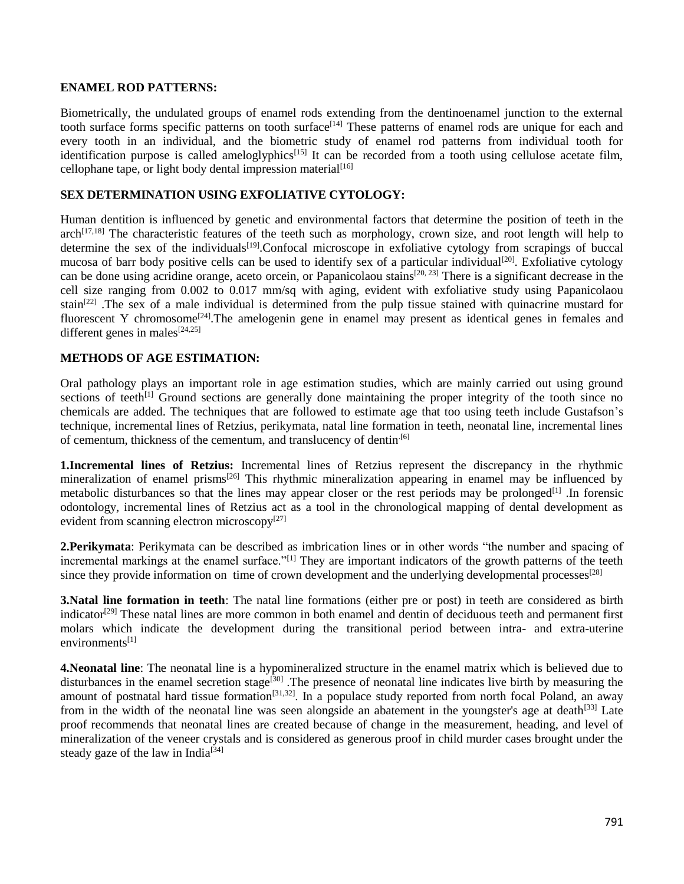#### **ENAMEL ROD PATTERNS:**

Biometrically, the undulated groups of enamel rods extending from the dentinoenamel junction to the external tooth surface forms specific patterns on tooth surface<sup>[14]</sup> These patterns of enamel rods are unique for each and every tooth in an individual, and the biometric study of enamel rod patterns from individual tooth for identification purpose is called ameloglyphics<sup>[15]</sup> It can be recorded from a tooth using cellulose acetate film, cellophane tape, or light body dental impression material $[16]$ 

#### **SEX DETERMINATION USING EXFOLIATIVE CYTOLOGY:**

Human dentition is influenced by genetic and environmental factors that determine the position of teeth in the  $arch^{[17,18]}$  The characteristic features of the teeth such as morphology, crown size, and root length will help to determine the sex of the individuals<sup>[19]</sup>.Confocal microscope in exfoliative cytology from scrapings of buccal mucosa of barr body positive cells can be used to identify sex of a particular individual<sup>[20]</sup>. Exfoliative cytology can be done using acridine orange, aceto orcein, or Papanicolaou stains<sup>[20, 23]</sup> There is a significant decrease in the cell size ranging from 0.002 to 0.017 mm/sq with aging, evident with exfoliative study using Papanicolaou stain<sup>[22]</sup>. The sex of a male individual is determined from the pulp tissue stained with quinacrine mustard for fluorescent Y chromosome<sup>[24]</sup>. The amelogenin gene in enamel may present as identical genes in females and different genes in males $[24,25]$ 

## **METHODS OF AGE ESTIMATION:**

Oral pathology plays an important role in age estimation studies, which are mainly carried out using ground sections of teeth<sup>[1]</sup> Ground sections are generally done maintaining the proper integrity of the tooth since no chemicals are added. The techniques that are followed to estimate age that too using teeth include Gustafson's technique, incremental lines of Retzius, perikymata, natal line formation in teeth, neonatal line, incremental lines of cementum, thickness of the cementum, and translucency of dentin.[6]

**1.Incremental lines of Retzius:** Incremental lines of Retzius represent the discrepancy in the rhythmic mineralization of enamel prisms<sup>[26]</sup> This rhythmic mineralization appearing in enamel may be influenced by metabolic disturbances so that the lines may appear closer or the rest periods may be prolonged<sup>[1]</sup>. In forensic odontology, incremental lines of Retzius act as a tool in the chronological mapping of dental development as evident from scanning electron microscopy $[27]$ 

**2.Perikymata**: Perikymata can be described as imbrication lines or in other words "the number and spacing of incremental markings at the enamel surface.<sup>"[1]</sup> They are important indicators of the growth patterns of the teeth since they provide information on time of crown development and the underlying developmental processes<sup>[28]</sup>

**3.Natal line formation in teeth**: The natal line formations (either pre or post) in teeth are considered as birth indicator<sup>[29]</sup> These natal lines are more common in both enamel and dentin of deciduous teeth and permanent first molars which indicate the development during the transitional period between intra- and extra-uterine environments<sup>[1]</sup>

**4.Neonatal line**: The neonatal line is a hypomineralized structure in the enamel matrix which is believed due to disturbances in the enamel secretion stage<sup>[30]</sup>. The presence of neonatal line indicates live birth by measuring the amount of postnatal hard tissue formation<sup>[31,32]</sup>. In a populace study reported from north focal Poland, an away from in the width of the neonatal line was seen alongside an abatement in the youngster's age at death $[33]$  Late proof recommends that neonatal lines are created because of change in the measurement, heading, and level of mineralization of the veneer crystals and is considered as generous proof in child murder cases brought under the steady gaze of the law in India<sup>[34]</sup>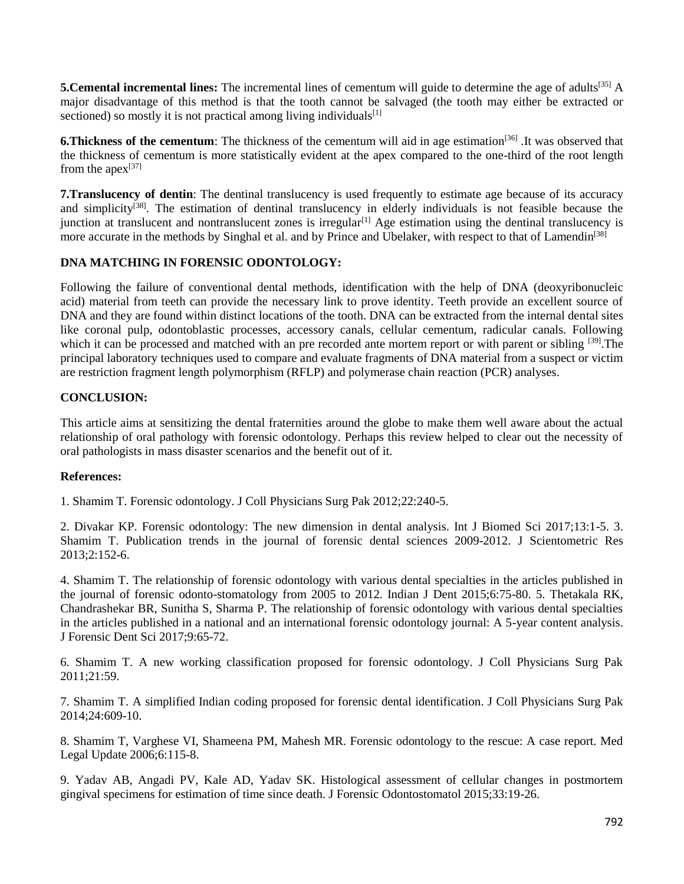**5. Cemental incremental lines:** The incremental lines of cementum will guide to determine the age of adults<sup>[35]</sup> A major disadvantage of this method is that the tooth cannot be salvaged (the tooth may either be extracted or sectioned) so mostly it is not practical among living individuals $[1]$ 

**6. Thickness of the cementum**: The thickness of the cementum will aid in age estimation<sup>[36]</sup>. It was observed that the thickness of cementum is more statistically evident at the apex compared to the one-third of the root length from the apex $[37]$ 

**7.Translucency of dentin**: The dentinal translucency is used frequently to estimate age because of its accuracy and simplicity<sup>[38]</sup>. The estimation of dentinal translucency in elderly individuals is not feasible because the junction at translucent and nontranslucent zones is irregular<sup>[1]</sup> Age estimation using the dentinal translucency is more accurate in the methods by Singhal et al. and by Prince and Ubelaker, with respect to that of Lamendin<sup>[38]</sup>

## **DNA MATCHING IN FORENSIC ODONTOLOGY:**

Following the failure of conventional dental methods, identification with the help of DNA (deoxyribonucleic acid) material from teeth can provide the necessary link to prove identity. Teeth provide an excellent source of DNA and they are found within distinct locations of the tooth. DNA can be extracted from the internal dental sites like coronal pulp, odontoblastic processes, accessory canals, cellular cementum, radicular canals. Following which it can be processed and matched with an pre recorded ante mortem report or with parent or sibling [39]. The principal laboratory techniques used to compare and evaluate fragments of DNA material from a suspect or victim are restriction fragment length polymorphism (RFLP) and polymerase chain reaction (PCR) analyses.

## **CONCLUSION:**

This article aims at sensitizing the dental fraternities around the globe to make them well aware about the actual relationship of oral pathology with forensic odontology. Perhaps this review helped to clear out the necessity of oral pathologists in mass disaster scenarios and the benefit out of it.

#### **References:**

1. Shamim T. Forensic odontology. J Coll Physicians Surg Pak 2012;22:240-5.

2. Divakar KP. Forensic odontology: The new dimension in dental analysis. Int J Biomed Sci 2017;13:1-5. 3. Shamim T. Publication trends in the journal of forensic dental sciences 2009-2012. J Scientometric Res 2013;2:152-6.

4. Shamim T. The relationship of forensic odontology with various dental specialties in the articles published in the journal of forensic odonto-stomatology from 2005 to 2012. Indian J Dent 2015;6:75-80. 5. Thetakala RK, Chandrashekar BR, Sunitha S, Sharma P. The relationship of forensic odontology with various dental specialties in the articles published in a national and an international forensic odontology journal: A 5-year content analysis. J Forensic Dent Sci 2017;9:65-72.

6. Shamim T. A new working classification proposed for forensic odontology. J Coll Physicians Surg Pak 2011;21:59.

7. Shamim T. A simplified Indian coding proposed for forensic dental identification. J Coll Physicians Surg Pak 2014;24:609-10.

8. Shamim T, Varghese VI, Shameena PM, Mahesh MR. Forensic odontology to the rescue: A case report. Med Legal Update 2006;6:115-8.

9. Yadav AB, Angadi PV, Kale AD, Yadav SK. Histological assessment of cellular changes in postmortem gingival specimens for estimation of time since death. J Forensic Odontostomatol 2015;33:19-26.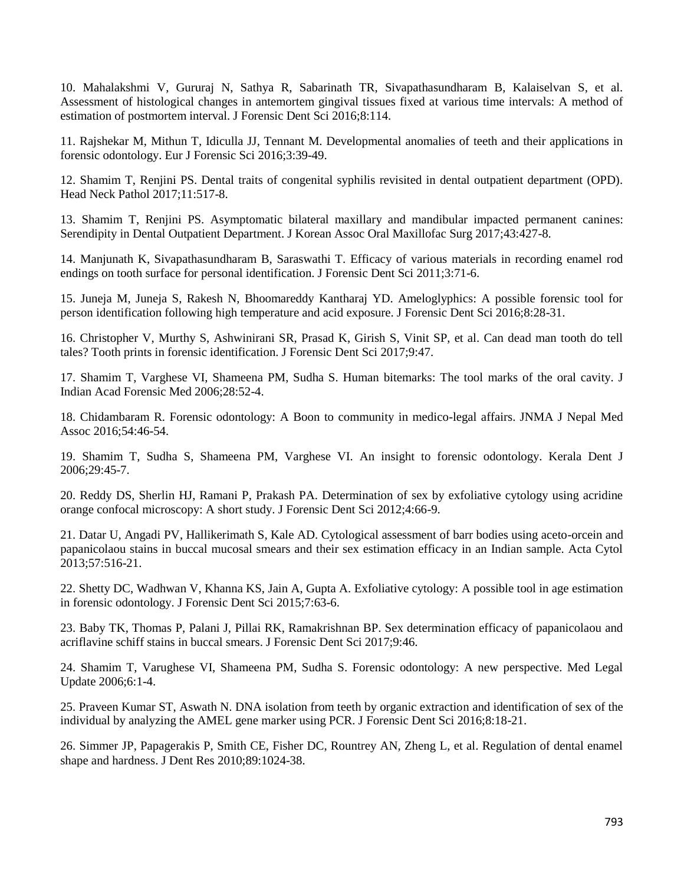10. Mahalakshmi V, Gururaj N, Sathya R, Sabarinath TR, Sivapathasundharam B, Kalaiselvan S, et al. Assessment of histological changes in antemortem gingival tissues fixed at various time intervals: A method of estimation of postmortem interval. J Forensic Dent Sci 2016;8:114.

11. Rajshekar M, Mithun T, Idiculla JJ, Tennant M. Developmental anomalies of teeth and their applications in forensic odontology. Eur J Forensic Sci 2016;3:39-49.

12. Shamim T, Renjini PS. Dental traits of congenital syphilis revisited in dental outpatient department (OPD). Head Neck Pathol 2017;11:517-8.

13. Shamim T, Renjini PS. Asymptomatic bilateral maxillary and mandibular impacted permanent canines: Serendipity in Dental Outpatient Department. J Korean Assoc Oral Maxillofac Surg 2017;43:427-8.

14. Manjunath K, Sivapathasundharam B, Saraswathi T. Efficacy of various materials in recording enamel rod endings on tooth surface for personal identification. J Forensic Dent Sci 2011;3:71-6.

15. Juneja M, Juneja S, Rakesh N, Bhoomareddy Kantharaj YD. Ameloglyphics: A possible forensic tool for person identification following high temperature and acid exposure. J Forensic Dent Sci 2016;8:28-31.

16. Christopher V, Murthy S, Ashwinirani SR, Prasad K, Girish S, Vinit SP, et al. Can dead man tooth do tell tales? Tooth prints in forensic identification. J Forensic Dent Sci 2017;9:47.

17. Shamim T, Varghese VI, Shameena PM, Sudha S. Human bitemarks: The tool marks of the oral cavity. J Indian Acad Forensic Med 2006;28:52-4.

18. Chidambaram R. Forensic odontology: A Boon to community in medico-legal affairs. JNMA J Nepal Med Assoc 2016;54:46-54.

19. Shamim T, Sudha S, Shameena PM, Varghese VI. An insight to forensic odontology. Kerala Dent J 2006;29:45-7.

20. Reddy DS, Sherlin HJ, Ramani P, Prakash PA. Determination of sex by exfoliative cytology using acridine orange confocal microscopy: A short study. J Forensic Dent Sci 2012;4:66-9.

21. Datar U, Angadi PV, Hallikerimath S, Kale AD. Cytological assessment of barr bodies using aceto-orcein and papanicolaou stains in buccal mucosal smears and their sex estimation efficacy in an Indian sample. Acta Cytol 2013;57:516-21.

22. Shetty DC, Wadhwan V, Khanna KS, Jain A, Gupta A. Exfoliative cytology: A possible tool in age estimation in forensic odontology. J Forensic Dent Sci 2015;7:63-6.

23. Baby TK, Thomas P, Palani J, Pillai RK, Ramakrishnan BP. Sex determination efficacy of papanicolaou and acriflavine schiff stains in buccal smears. J Forensic Dent Sci 2017;9:46.

24. Shamim T, Varughese VI, Shameena PM, Sudha S. Forensic odontology: A new perspective. Med Legal Update 2006;6:1-4.

25. Praveen Kumar ST, Aswath N. DNA isolation from teeth by organic extraction and identification of sex of the individual by analyzing the AMEL gene marker using PCR. J Forensic Dent Sci 2016;8:18-21.

26. Simmer JP, Papagerakis P, Smith CE, Fisher DC, Rountrey AN, Zheng L, et al. Regulation of dental enamel shape and hardness. J Dent Res 2010;89:1024-38.